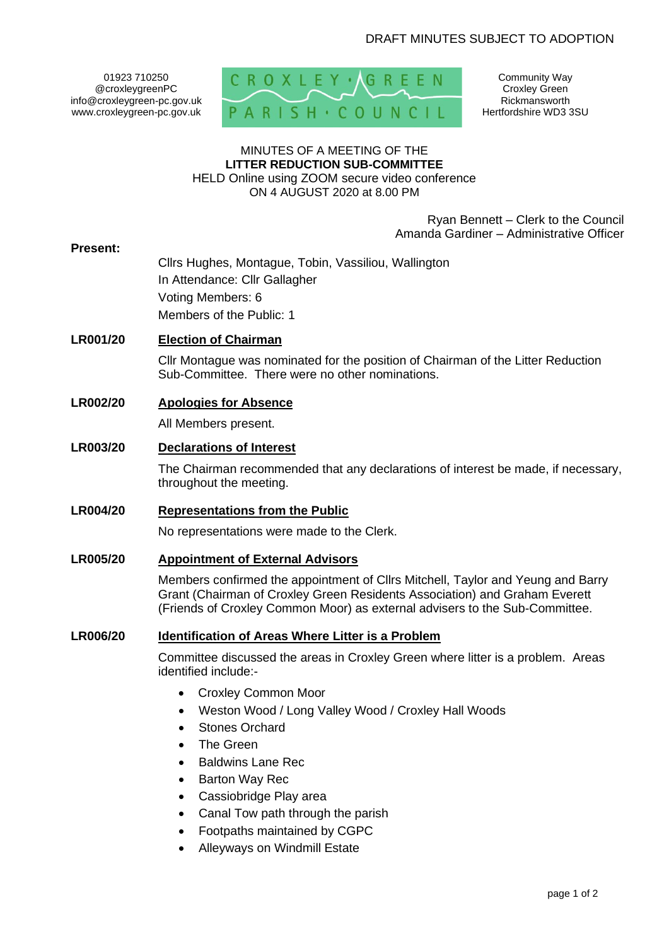01923 710250 @croxleygreenPC info@croxleygreen-pc.gov.uk www.croxleygreen-pc.gov.uk



Community Way Croxley Green Rickmansworth Hertfordshire WD3 3SU

# MINUTES OF A MEETING OF THE **LITTER REDUCTION SUB-COMMITTEE**

HELD Online using ZOOM secure video conference ON 4 AUGUST 2020 at 8.00 PM

> Ryan Bennett – Clerk to the Council Amanda Gardiner – Administrative Officer

#### **Present:**

Cllrs Hughes, Montague, Tobin, Vassiliou, Wallington In Attendance: Cllr Gallagher Voting Members: 6 Members of the Public: 1

## **LR001/20 Election of Chairman**

Cllr Montague was nominated for the position of Chairman of the Litter Reduction Sub-Committee. There were no other nominations.

### **LR002/20 Apologies for Absence**

All Members present.

### **LR003/20 Declarations of Interest**

The Chairman recommended that any declarations of interest be made, if necessary, throughout the meeting.

#### **LR004/20 Representations from the Public**

No representations were made to the Clerk.

#### **LR005/20 Appointment of External Advisors**

Members confirmed the appointment of Cllrs Mitchell, Taylor and Yeung and Barry Grant (Chairman of Croxley Green Residents Association) and Graham Everett (Friends of Croxley Common Moor) as external advisers to the Sub-Committee.

#### **LR006/20 Identification of Areas Where Litter is a Problem**

Committee discussed the areas in Croxley Green where litter is a problem. Areas identified include:-

- Croxley Common Moor
- Weston Wood / Long Valley Wood / Croxley Hall Woods
- Stones Orchard
- **The Green**
- Baldwins Lane Rec
- **Barton Way Rec**
- Cassiobridge Play area
- Canal Tow path through the parish
- Footpaths maintained by CGPC
- Alleyways on Windmill Estate